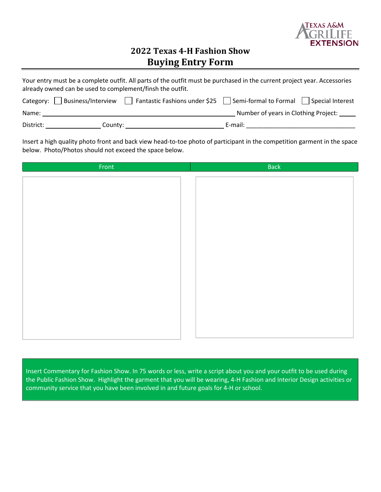

## **2022 Texas 4-H Fashion Show Buying Entry Form**

| Your entry must be a complete outfit. All parts of the outfit must be purchased in the current project year. Accessories<br>already owned can be used to complement/finsh the outfit. |                                                                          |                                          |  |  |  |  |  |  |  |
|---------------------------------------------------------------------------------------------------------------------------------------------------------------------------------------|--------------------------------------------------------------------------|------------------------------------------|--|--|--|--|--|--|--|
|                                                                                                                                                                                       | Category: $\vert$   Business/Interview     Fantastic Fashions under \$25 | Semi-formal to Formal   Special Interest |  |  |  |  |  |  |  |
| Name:                                                                                                                                                                                 |                                                                          | Number of years in Clothing Project:     |  |  |  |  |  |  |  |
| District:                                                                                                                                                                             | County:                                                                  | E-mail:                                  |  |  |  |  |  |  |  |

Insert a high quality photo front and back view head-to-toe photo of participant in the competition garment in the space below. Photo/Photos should not exceed the space below.

| Front | <b>Back</b> |  |  |  |
|-------|-------------|--|--|--|
|       |             |  |  |  |
|       |             |  |  |  |
|       |             |  |  |  |
|       |             |  |  |  |
|       |             |  |  |  |
|       |             |  |  |  |
|       |             |  |  |  |
|       |             |  |  |  |
|       |             |  |  |  |
|       |             |  |  |  |
|       |             |  |  |  |
|       |             |  |  |  |
|       |             |  |  |  |
|       |             |  |  |  |
|       |             |  |  |  |
|       |             |  |  |  |
|       |             |  |  |  |

Insert Commentary for Fashion Show. In 75 words or less, write a script about you and your outfit to be used during the Public Fashion Show. Highlight the garment that you will be wearing, 4-H Fashion and Interior Design activities or community service that you have been involved in and future goals for 4-H or school.